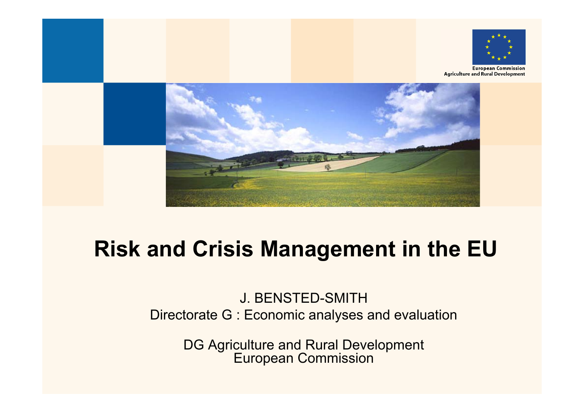



### **Risk and Crisis Management in the EU**

#### J. BENSTED-SMITH Directorate G : Economic analyses and evaluation

DG Agriculture and Rural Development European Commission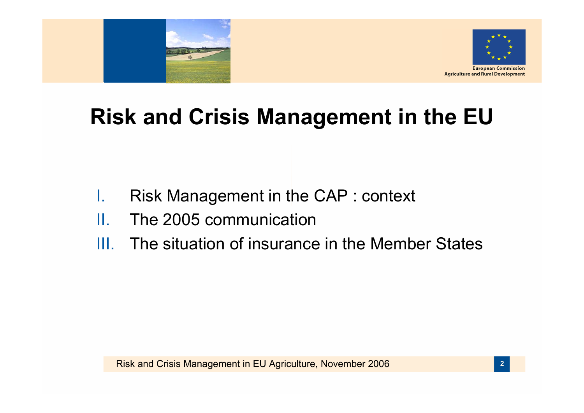



### **Risk and Crisis Management in the EU**

- I.Risk Management in the CAP : context
- II.The 2005 communication
- III. The situation of insurance in the Member States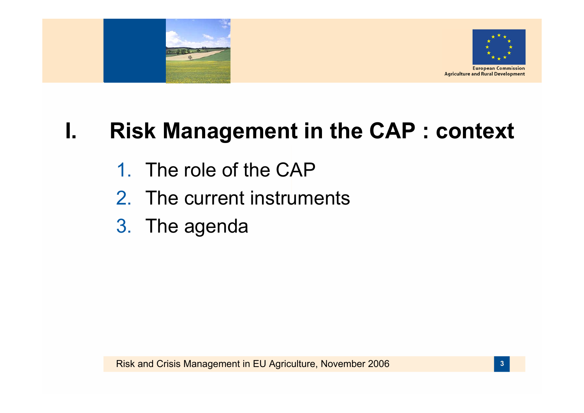



### **I. Risk Management in the CAP : context**

- 1. The role of the CAP
- 2. The current instruments
- 3. The agenda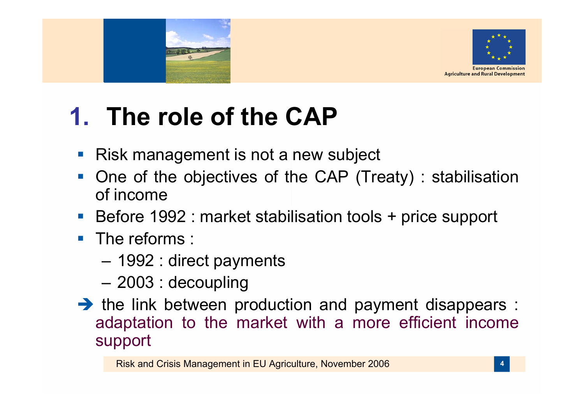



# **1. The role of the CAP**

- p. Risk management is not a new subject
- $\mathbb{R}^n$  One of the objectives of the CAP (Treaty) : stabilisation of income
- Before 1992 : market stabilisation tools + price support
- **The reforms:** 
	- 1992 : direct payments
	- 2003 : decoupling
- $\rightarrow$  the link between production and payment disappears : adaptation to the market with a more efficient income support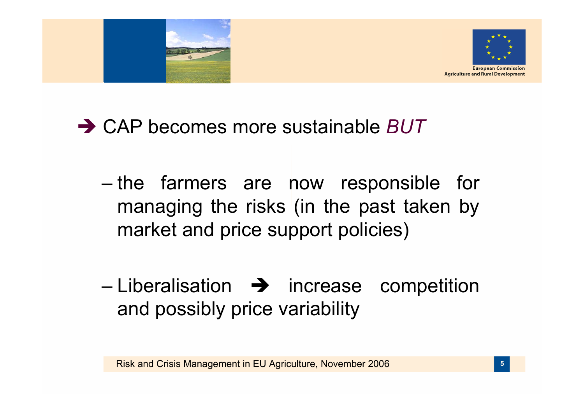



### **→ CAP becomes more sustainable** *BUT*

- the farmers are now responsible for managing the risks (in the past taken by market and price support policies)
- Liberalisation  $\rightarrow$  increase competition and possibly price variability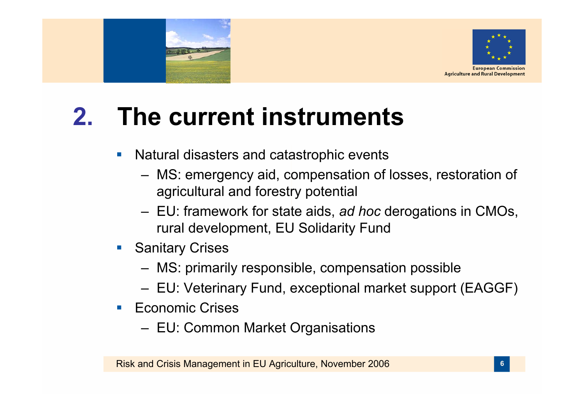



#### **2.The current instruments**

- $\mathcal{C}^{\mathcal{A}}$  Natural disasters and catastrophic events
	- MS: emergency aid, compensation of losses, restoration of agricultural and forestry potential
	- EU: framework for state aids, *ad hoc* derogations in CMOs, rural development, EU Solidarity Fund
- $\mathcal{L}_{\mathcal{A}}$  Sanitary Crises
	- MS: primarily responsible, compensation possible
	- EU: Veterinary Fund, exceptional market support (EAGGF)
- **Economic Crises** 
	- EU: Common Market Organisations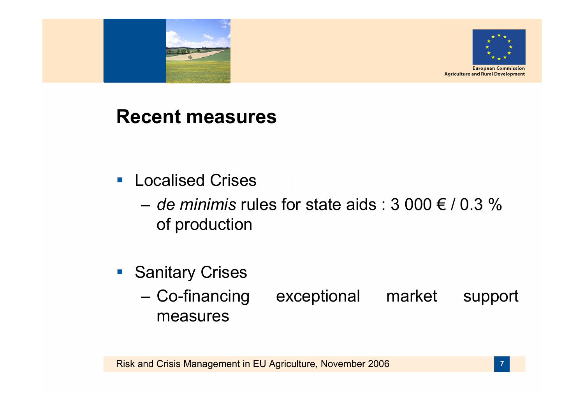



#### **Recent measures**

- **Localised Crises** 
	- $-$  *de minimis* rules for state aids : 3 000  $\in$  / 0.3  $\%$ of production
- **Sanitary Crises** 
	- Co-financing exceptional market support measures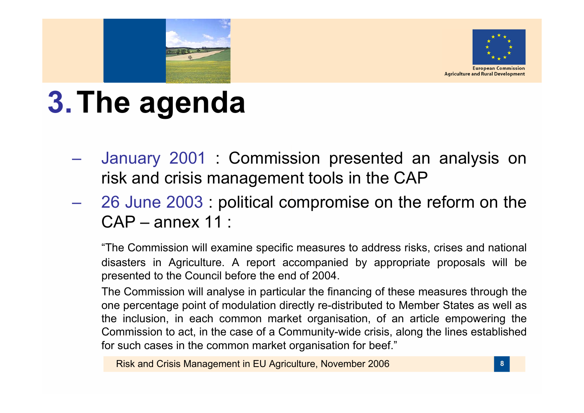



# **3.The agenda**

- $\mathcal{L}_{\mathcal{A}}$  January 2001 : Commission presented an analysis on risk and crisis management tools in the CAP
- 26 June 2003 : political compromise on the reform on the CAP – annex 11 :

"The Commission will examine specific measures to address risks, crises and national disasters in Agriculture. A report accompanied by appropriate proposals will be presented to the Council before the end of 2004.

The Commission will analyse in particular the financing of these measures through the one percentage point of modulation directly re-distributed to Member States as well as the inclusion, in each common market organisation, of an article empowering the Commission to act, in the case of a Community-wide crisis, along the lines established for such cases in the common market organisation for beef."

Risk and Crisis Management in EU Agriculture, November 2006 **<sup>8</sup>**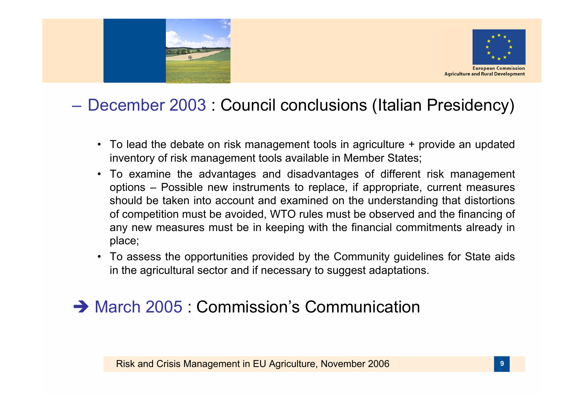



#### – December 2003 : Council conclusions (Italian Presidency)

- To lead the debate on risk management tools in agriculture + provide an updated inventory of risk management tools available in Member States;
- To examine the advantages and disadvantages of different risk management options – Possible new instruments to replace, if appropriate, current measures should be taken into account and examined on the understanding that distortions of competition must be avoided, WTO rules must be observed and the financing of any new measures must be in keeping with the financial commitments already in place;
- To assess the opportunities provided by the Community guidelines for State aids in the agricultural sector and if necessary to suggest adaptations.

#### $\rightarrow$  March 2005 : Commission's Communication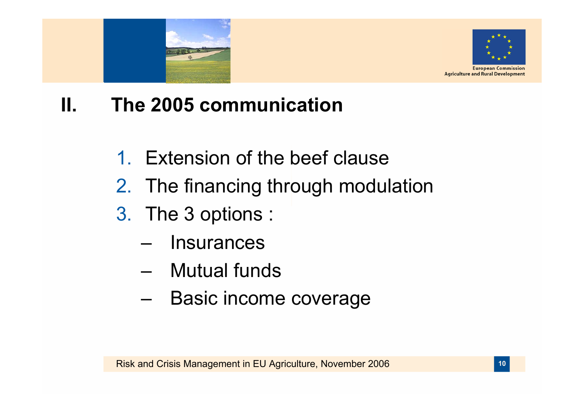



#### **II. The 2005 communication**

- 1. Extension of the beef clause
- 2. The financing through modulation
- 3. The 3 options :
	- Insurances
	- Mutual funds
	- –Basic income coverage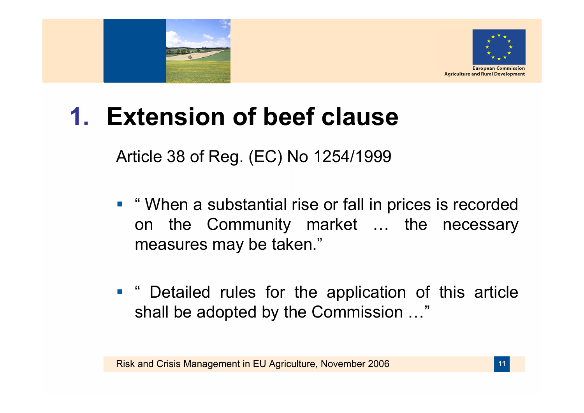



# **1. Extension of beef clause**

Article 38 of Reg. (EC) No 1254/1999

- "When a substantial rise or fall in prices is recorded on the Community market … the necessary measures may be taken."
- **" Detailed rules for the application of this article** shall be adopted by the Commission …"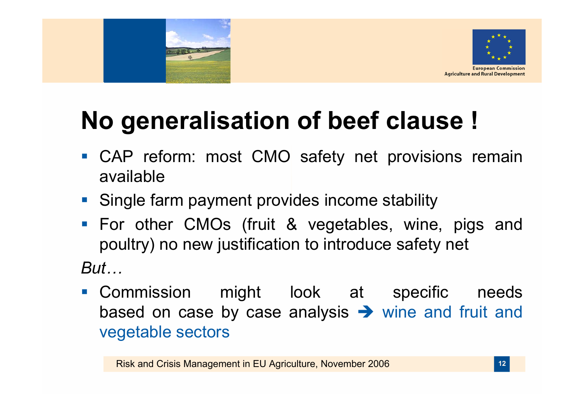



# **No generalisation of beef clause !**

- **CAP reform: most CMO safety net provisions remain** available
- **Single farm payment provides income stability**
- **For other CMOs (fruit & vegetables, wine, pigs and** poultry) no new justification to introduce safety net

*But…*

**Commission might look at specific needs** based on case by case analysis  $\rightarrow$  wine and fruit and vegetable sectors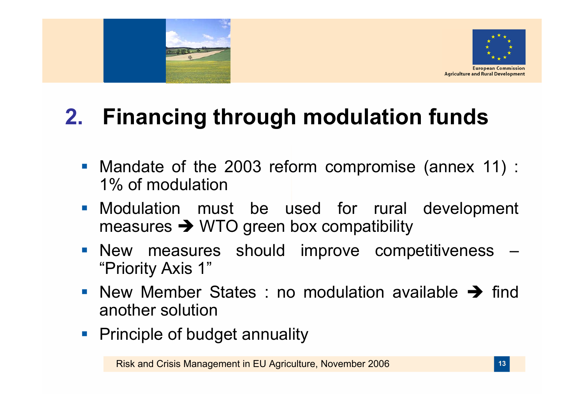



## **2. Financing through modulation funds**

- Mandate of the 2003 reform compromise (annex 11) : 1% of modulation
- **Modulation must be used for rural development** measures  $\rightarrow$  WTO green box compatibility
- **New measures should improve competitiveness -**"Priority Axis 1"
- New Member States : no modulation available  $\rightarrow$  find another solution
- **Principle of budget annuality**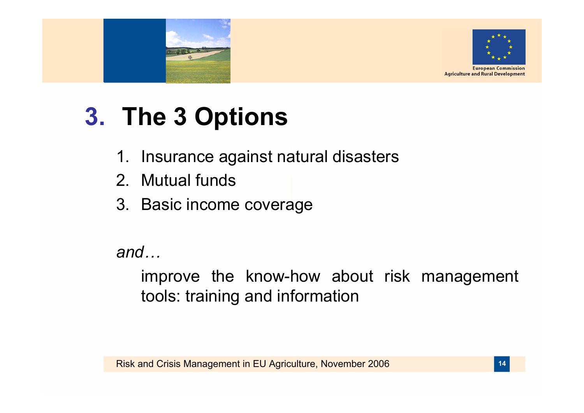



# **3. The 3 Options**

- 1. Insurance against natural disasters
- 2. Mutual funds
- 3. Basic income coverage

*and…*

improve the know-how about risk management tools: training and information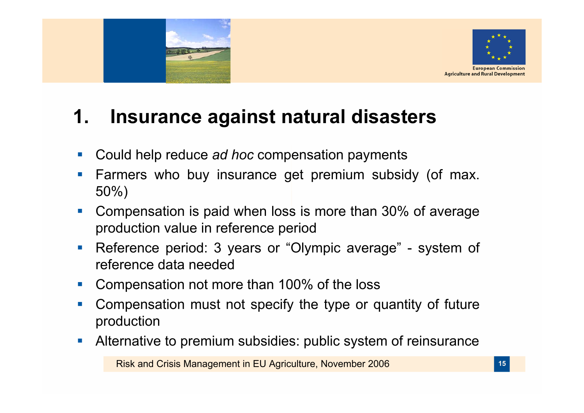



### **1. Insurance against natural disasters**

- $\mathbb{R}^3$ Could help reduce *ad hoc* compensation payments
- $\mathbb{R}^n$  Farmers who buy insurance get premium subsidy (of max. 50%)
- $\overline{\phantom{a}}$  Compensation is paid when loss is more than 30% of average production value in reference period
- $\mathcal{L}_{\mathcal{A}}$  Reference period: 3 years or "Olympic average" - system of reference data needed
- þ. Compensation not more than 100% of the loss
- $\mathbb{R}^n$  Compensation must not specify the type or quantity of future production
- $\mathcal{L}_{\mathcal{A}}$ Alternative to premium subsidies: public system of reinsurance

Risk and Crisis Management in EU Agriculture, November 2006 **<sup>15</sup>**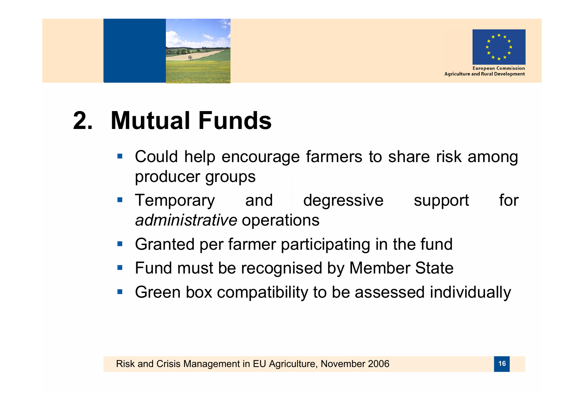



# **2. Mutual Funds**

- $\mathcal{L}_{\mathcal{A}}$  Could help encourage farmers to share risk among producer groups
- $\mathcal{L}_{\mathcal{A}}$  Temporary and degressive support for *administrative* operations
- $\mathcal{L}^{\mathcal{L}}$ Granted per farmer participating in the fund
- p. Fund must be recognised by Member State
- p. Green box compatibility to be assessed individually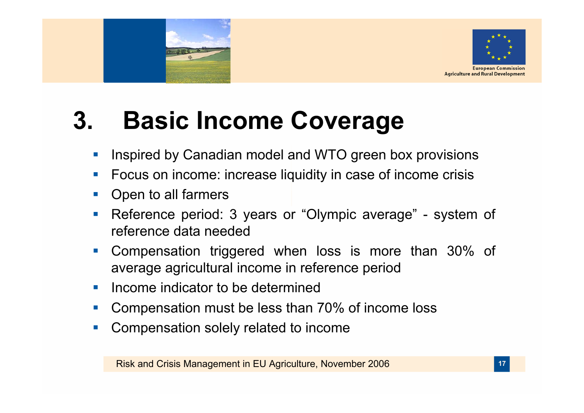

# **3. Basic Income Coverage**

- Inspired by Canadian model and WTO green box provisions
- **Service Service** Focus on income: increase liquidity in case of income crisis
- $\sim$ Open to all farmers
- $\mathcal{C}^{\mathcal{A}}$  Reference period: 3 years or "Olympic average" - system of reference data needed
- $\mathcal{C}^{\mathcal{A}}$  Compensation triggered when loss is more than 30% of average agricultural income in reference period
- $\mathcal{L}_{\mathcal{A}}$ Income indicator to be determined
- Compensation must be less than 70% of income loss
- $\mathcal{C}^{\mathcal{A}}$ Compensation solely related to income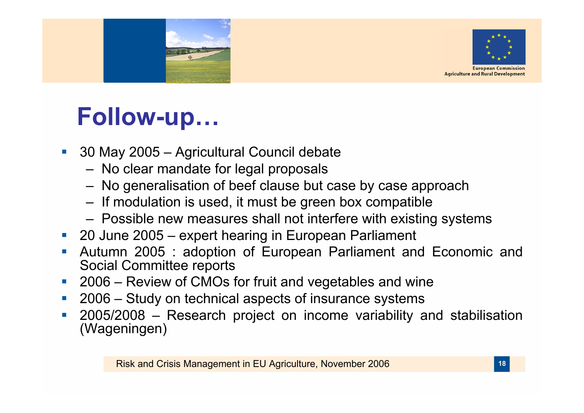



## **Follow-up…**

- **Service Service**  30 May 2005 – Agricultural Council debate
	- –No clear mandate for legal proposals
	- –No generalisation of beef clause but case by case approach
	- –If modulation is used, it must be green box compatible
	- –Possible new measures shall not interfere with existing systems
- 20 June 2005 expert hearing in European Parliament
- Autumn 2005 : adoption of European Parliament and Economic and Social Committee reports
- 2006 Review of CMOs for fruit and vegetables and wine
- 2006 – Study on technical aspects of insurance systems
- 2005/2008 – Research project on income variability and stabilisation (Wageningen)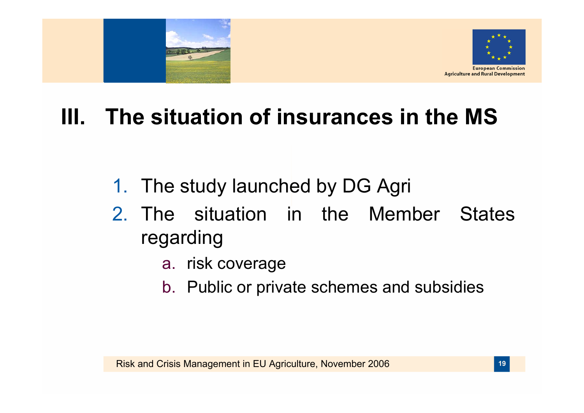



### **III. The situation of insurances in the MS**

- 1. The study launched by DG Agri
- 2. The situation in the Member States regarding
	- a. risk coverage
	- b. Public or private schemes and subsidies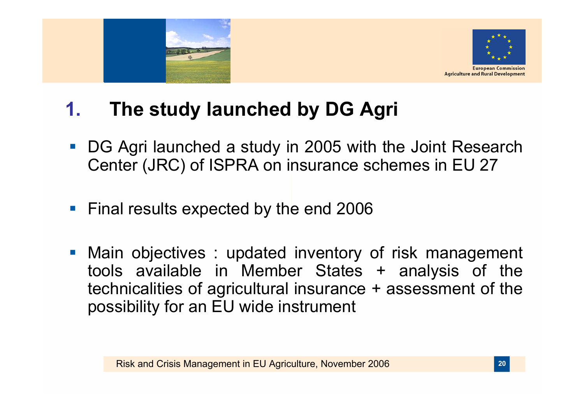



#### **1.The study launched by DG Agri**

- DG Agri launched a study in 2005 with the Joint Research Center (JRC) of ISPRA on insurance schemes in EU 27
- Final results expected by the end 2006
- Main objectives : updated inventory of risk management tools available in Member States + analysis of the technicalities of agricultural insurance + assessment of the possibility for an EU wide instrument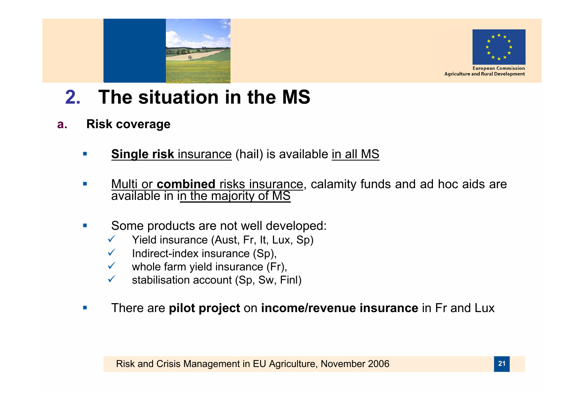



- **2.The situation in the MS**
- **a. Risk coverage**
	- **College Single risk** insurance (hail) is available in all MS
	- $\mathcal{C}$ **Multi or combined** risks insurance, calamity funds and ad hoc aids are available in in the majority of MS
	- $\mathcal{C}$  Some products are not well developed:
		- $\checkmark$ Yield insurance (Aust, Fr, It, Lux, Sp)
		- $\checkmark$ Indirect-index insurance (Sp),
		- $\sqrt{2}$ whole farm yield insurance (Fr),
		- $\checkmark$ stabilisation account (Sp, Sw, Finl)
	- П There are **pilot project** on **income/revenue insurance** in Fr and Lux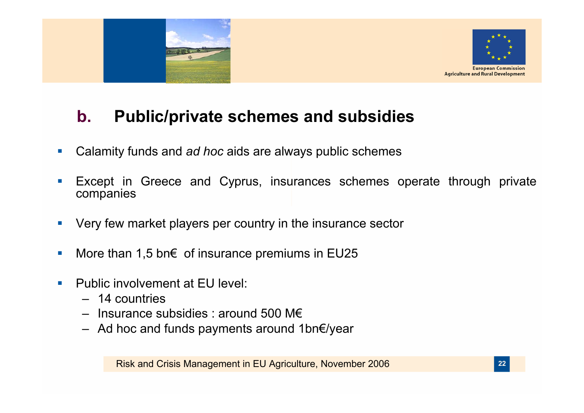



#### **b.Public/private schemes and subsidies**

- $\mathcal{L}_{\mathcal{A}}$ Calamity funds and *ad hoc* aids are always public schemes
- $\overline{\mathbb{R}}$ Except in Greece and Cyprus, insurances schemes operate through private companies
- $\overline{\phantom{a}}$ Very few market players per country in the insurance sector
- $\mathcal{L}_{\mathcal{A}}$ More than 1,5 bn $\epsilon$  of insurance premiums in EU25
- m. Public involvement at EU level:
	- 14 countries
	- Insurance subsidies : around 500 M€
	- Ad hoc and funds payments around 1bn€/year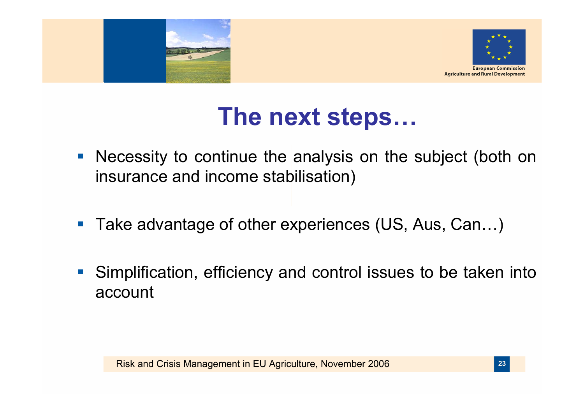



### **The next steps…**

- $\mathbb{R}^n$ Necessity to continue the analysis on the subject (both on insurance and income stabilisation)
- p. Take advantage of other experiences (US, Aus, Can…)
- p. Simplification, efficiency and control issues to be taken into account